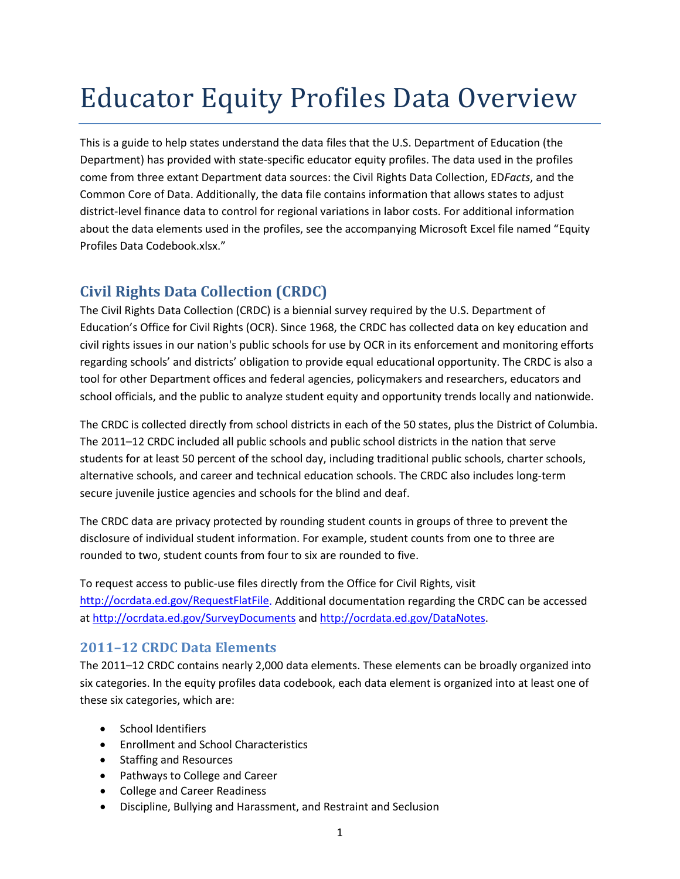# Educator Equity Profiles Data Overview

This is a guide to help states understand the data files that the U.S. Department of Education (the Department) has provided with state-specific educator equity profiles. The data used in the profiles come from three extant Department data sources: the Civil Rights Data Collection, ED*Facts*, and the Common Core of Data. Additionally, the data file contains information that allows states to adjust district-level finance data to control for regional variations in labor costs. For additional information about the data elements used in the profiles, see the accompanying Microsoft Excel file named "Equity Profiles Data Codebook.xlsx."

### **Civil Rights Data Collection (CRDC)**

The Civil Rights Data Collection (CRDC) is a biennial survey required by the U.S. Department of Education's Office for Civil Rights (OCR). Since 1968, the CRDC has collected data on key education and civil rights issues in our nation's public schools for use by OCR in its enforcement and monitoring efforts regarding schools' and districts' obligation to provide equal educational opportunity. The CRDC is also a tool for other Department offices and federal agencies, policymakers and researchers, educators and school officials, and the public to analyze student equity and opportunity trends locally and nationwide.

The CRDC is collected directly from school districts in each of the 50 states, plus the District of Columbia. The 2011–12 CRDC included all public schools and public school districts in the nation that serve students for at least 50 percent of the school day, including traditional public schools, charter schools, alternative schools, and career and technical education schools. The CRDC also includes long-term secure juvenile justice agencies and schools for the blind and deaf.

The CRDC data are privacy protected by rounding student counts in groups of three to prevent the disclosure of individual student information. For example, student counts from one to three are rounded to two, student counts from four to six are rounded to five.

To request access to public-use files directly from the Office for Civil Rights, visit [http://ocrdata.ed.gov/RequestFlatFile.](http://ocrdata.ed.gov/RequestFlatFile) Additional documentation regarding the CRDC can be accessed at<http://ocrdata.ed.gov/SurveyDocuments> and [http://ocrdata.ed.gov/DataNotes.](http://ocrdata.ed.gov/DataNotes)

#### **2011–12 CRDC Data Elements**

The 2011–12 CRDC contains nearly 2,000 data elements. These elements can be broadly organized into six categories. In the equity profiles data codebook, each data element is organized into at least one of these six categories, which are:

- School Identifiers
- Enrollment and School Characteristics
- Staffing and Resources
- Pathways to College and Career
- College and Career Readiness
- Discipline, Bullying and Harassment, and Restraint and Seclusion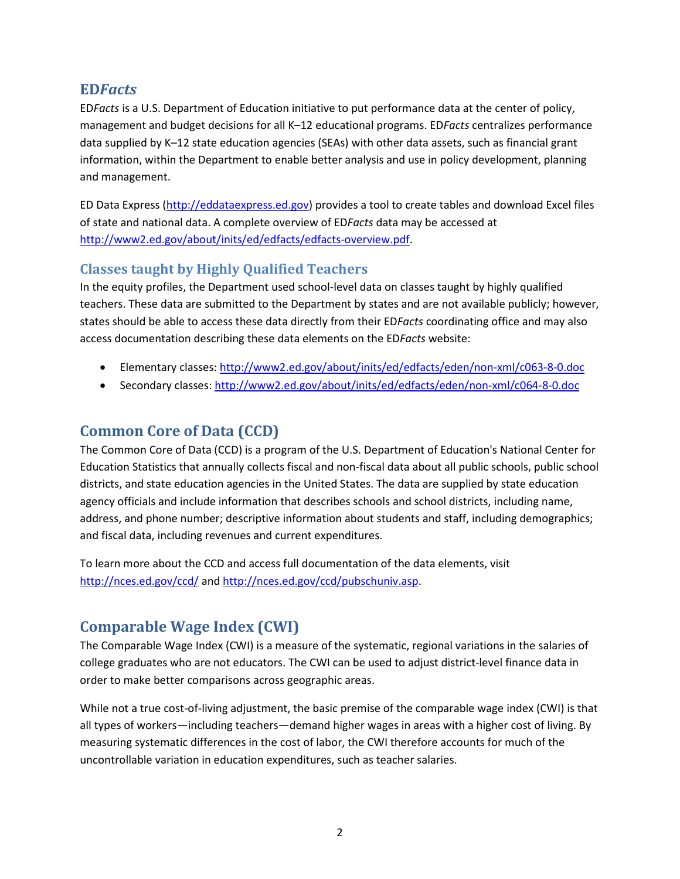#### **ED***Facts*

ED*Facts* is a U.S. Department of Education initiative to put performance data at the center of policy, management and budget decisions for all K–12 educational programs. ED*Facts* centralizes performance data supplied by K–12 state education agencies (SEAs) with other data assets, such as financial grant information, within the Department to enable better analysis and use in policy development, planning and management.

ED Data Express [\(http://eddataexpress.ed.gov\)](http://eddataexpress.ed.gov/) provides a tool to create tables and download Excel files of state and national data. A complete overview of ED*Facts* data may be accessed at [http://www2.ed.gov/about/inits/ed/edfacts/edfacts-overview.pdf.](http://www2.ed.gov/about/inits/ed/edfacts/edfacts-overview.pdf)

#### **Classes taught by Highly Qualified Teachers**

In the equity profiles, the Department used school-level data on classes taught by highly qualified teachers. These data are submitted to the Department by states and are not available publicly; however, states should be able to access these data directly from their ED*Facts* coordinating office and may also access documentation describing these data elements on the ED*Facts* website:

- Elementary classes:<http://www2.ed.gov/about/inits/ed/edfacts/eden/non-xml/c063-8-0.doc>
- Secondary classes:<http://www2.ed.gov/about/inits/ed/edfacts/eden/non-xml/c064-8-0.doc>

## **Common Core of Data (CCD)**

The Common Core of Data (CCD) is a program of the U.S. Department of Education's National Center for Education Statistics that annually collects fiscal and non-fiscal data about all public schools, public school districts, and state education agencies in the United States. The data are supplied by state education agency officials and include information that describes schools and school districts, including name, address, and phone number; descriptive information about students and staff, including demographics; and fiscal data, including revenues and current expenditures.

To learn more about the CCD and access full documentation of the data elements, visit <http://nces.ed.gov/ccd/> an[d http://nces.ed.gov/ccd/pubschuniv.asp.](http://nces.ed.gov/ccd/pubschuniv.asp)

# **Comparable Wage Index (CWI)**

The Comparable Wage Index (CWI) is a measure of the systematic, regional variations in the salaries of college graduates who are not educators. The CWI can be used to adjust district-level finance data in order to make better comparisons across geographic areas.

While not a true cost-of-living adjustment, the basic premise of the comparable wage index (CWI) is that all types of workers—including teachers—demand higher wages in areas with a higher cost of living. By measuring systematic differences in the cost of labor, the CWI therefore accounts for much of the uncontrollable variation in education expenditures, such as teacher salaries.